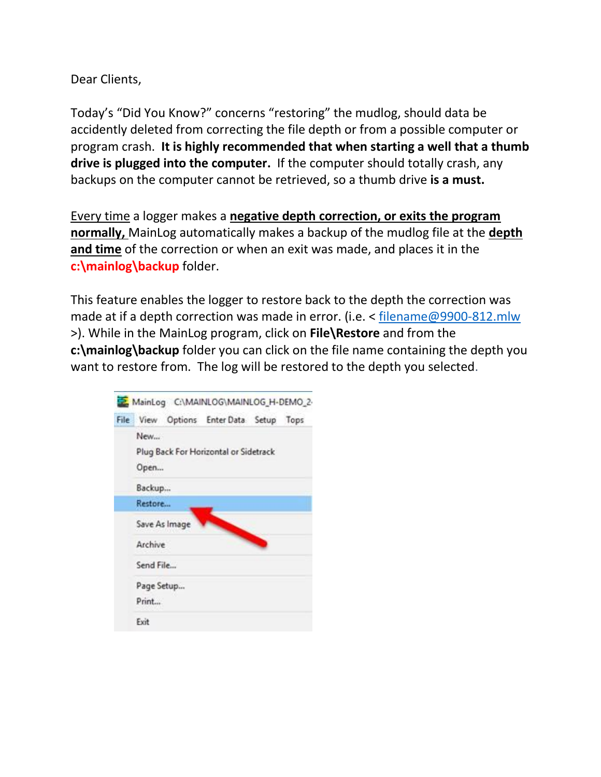Dear Clients,

Today's "Did You Know?" concerns "restoring" the mudlog, should data be accidently deleted from correcting the file depth or from a possible computer or program crash. **It is highly recommended that when starting a well that a thumb drive is plugged into the computer.** If the computer should totally crash, any backups on the computer cannot be retrieved, so a thumb drive **is a must.**

Every time a logger makes a **negative depth correction, or exits the program normally,** MainLog automatically makes a backup of the mudlog file at the **depth and time** of the correction or when an exit was made, and places it in the **c:\mainlog\backup** folder.

This feature enables the logger to restore back to the depth the correction was made at if a depth correction was made in error. (i.e. < [filename@9900-812.mlw](mailto:filename@9900-812.mlw) >). While in the MainLog program, click on **File\Restore** and from the **c:\mainlog\backup** folder you can click on the file name containing the depth you want to restore from. The log will be restored to the depth you selected.

| File View Options EnterData Setup Tops               |  |  |
|------------------------------------------------------|--|--|
| New<br>Plug Back For Horizontal or Sidetrack<br>Open |  |  |
| Backup                                               |  |  |
| Restore                                              |  |  |
| Save As Image                                        |  |  |
| Archive                                              |  |  |
| Send File                                            |  |  |
| Page Setup                                           |  |  |
| Print                                                |  |  |
| Exit                                                 |  |  |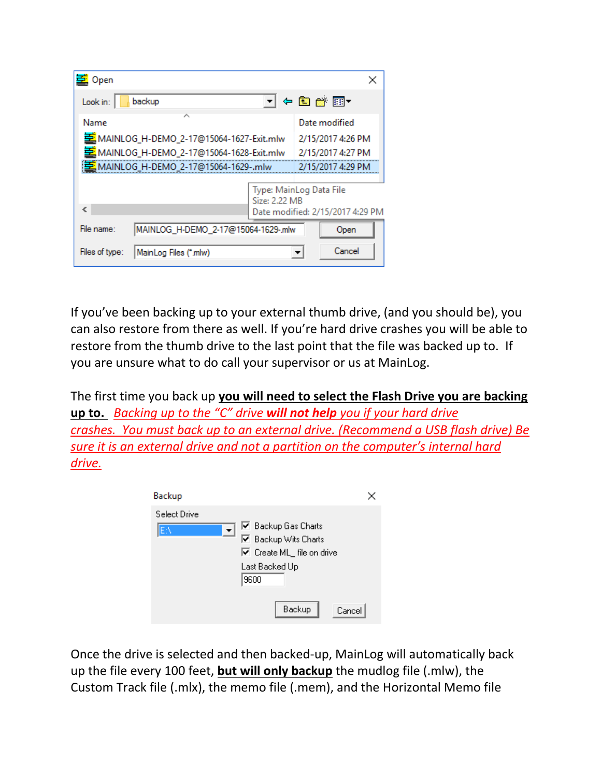| 臺 Open                                            |                                                             |
|---------------------------------------------------|-------------------------------------------------------------|
| Look in:<br>backup                                | ㄱ ← �� @ · @ •                                              |
| ́<br>Name                                         | Date modified                                               |
| 프 MAINLOG_H-DEMO_2-17@15064-1627-Exit.mlw         | 2/15/2017 4:26 PM                                           |
| 호 MAINLOG_H-DEMO_2-17@15064-1628-Exit.mlw         | 2/15/2017 4:27 PM                                           |
| [로 MAINLOG_H-DEMO_2-17@15064-1629-.mlw            | 2/15/2017 4:29 PM                                           |
| Size: 2.22 MB<br>€                                | Type: MainLog Data File<br>Date modified: 2/15/2017 4:29 PM |
| File name:<br>MAINLOG_H-DEMO_2-17@15064-1629-.mlw | Open                                                        |
| Files of type:<br>MainLog Files (*.mlw)           | Cancel                                                      |

If you've been backing up to your external thumb drive, (and you should be), you can also restore from there as well. If you're hard drive crashes you will be able to restore from the thumb drive to the last point that the file was backed up to. If you are unsure what to do call your supervisor or us at MainLog.

The first time you back up **you will need to select the Flash Drive you are backing up to.** *Backing up to the "C" drive will not help you if your hard drive crashes. You must back up to an external drive. (Recommend a USB flash drive) Be sure it is an external drive and not a partition on the computer's internal hard drive.*

| Backup                                    |                                                                                                                              |  |
|-------------------------------------------|------------------------------------------------------------------------------------------------------------------------------|--|
| Select Drive<br>$\vert \cdot \vert$<br>E۸ | $\overline{\triangledown}$ Backup Gas Charts<br>□ Backup Wits Charts<br>☑ Create ML_ file on drive<br>Last Backed Up<br>9600 |  |
|                                           | Backup<br>Cancel                                                                                                             |  |

Once the drive is selected and then backed-up, MainLog will automatically back up the file every 100 feet, **but will only backup** the mudlog file (.mlw), the Custom Track file (.mlx), the memo file (.mem), and the Horizontal Memo file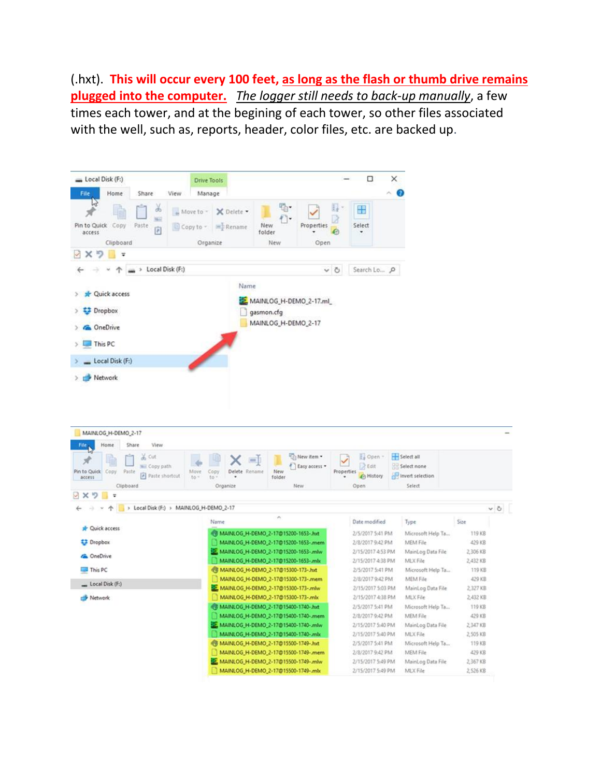(.hxt). **This will occur every 100 feet, as long as the flash or thumb drive remains plugged into the computer.** *The logger still needs to back-up manually*, a few times each tower, and at the begining of each tower, so other files associated with the well, such as, reports, header, color files, etc. are backed up.